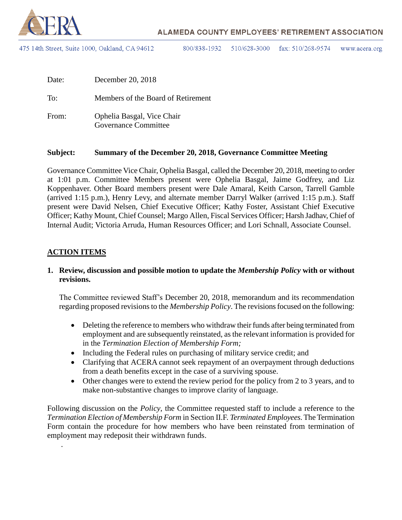

475 14th Street, Suite 1000, Oakland, CA 94612

800/838-1932 510/628-3000 fax:  $510/268-9574$ www.acera.org

| Date: | December 20, 2018                                  |
|-------|----------------------------------------------------|
| To:   | Members of the Board of Retirement                 |
| From: | Ophelia Basgal, Vice Chair<br>Governance Committee |

#### **Subject: Summary of the December 20, 2018, Governance Committee Meeting**

Governance Committee Vice Chair, Ophelia Basgal, called the December 20, 2018, meeting to order at 1:01 p.m. Committee Members present were Ophelia Basgal, Jaime Godfrey, and Liz Koppenhaver. Other Board members present were Dale Amaral, Keith Carson, Tarrell Gamble (arrived 1:15 p.m.), Henry Levy, and alternate member Darryl Walker (arrived 1:15 p.m.). Staff present were David Nelsen, Chief Executive Officer; Kathy Foster, Assistant Chief Executive Officer; Kathy Mount, Chief Counsel; Margo Allen, Fiscal Services Officer; Harsh Jadhav, Chief of Internal Audit; Victoria Arruda, Human Resources Officer; and Lori Schnall, Associate Counsel.

#### **ACTION ITEMS**

.

#### **1. Review, discussion and possible motion to update the** *Membership Policy* **with or without revisions.**

The Committee reviewed Staff's December 20, 2018, memorandum and its recommendation regarding proposed revisions to the *Membership Policy*. The revisions focused on the following:

- Deleting the reference to members who withdraw their funds after being terminated from employment and are subsequently reinstated, as the relevant information is provided for in the *Termination Election of Membership Form;*
- Including the Federal rules on purchasing of military service credit; and
- Clarifying that ACERA cannot seek repayment of an overpayment through deductions from a death benefits except in the case of a surviving spouse.
- Other changes were to extend the review period for the policy from 2 to 3 years, and to make non-substantive changes to improve clarity of language.

Following discussion on the *Policy*, the Committee requested staff to include a reference to the *Termination Election of Membership Form* in Section II.F. *Terminated Employees*. The Termination Form contain the procedure for how members who have been reinstated from termination of employment may redeposit their withdrawn funds.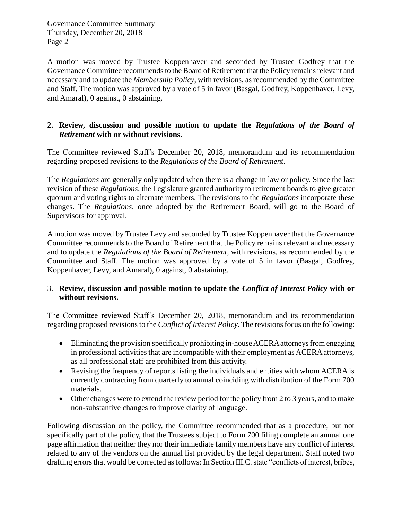A motion was moved by Trustee Koppenhaver and seconded by Trustee Godfrey that the Governance Committee recommends to the Board of Retirement that the Policy remains relevant and necessary and to update the *Membership Policy*, with revisions, as recommended by the Committee and Staff. The motion was approved by a vote of 5 in favor (Basgal, Godfrey, Koppenhaver, Levy, and Amaral), 0 against, 0 abstaining.

#### **2. Review, discussion and possible motion to update the** *Regulations of the Board of Retirement* **with or without revisions.**

The Committee reviewed Staff's December 20, 2018, memorandum and its recommendation regarding proposed revisions to the *Regulations of the Board of Retirement*.

The *Regulations* are generally only updated when there is a change in law or policy. Since the last revision of these *Regulations*, the Legislature granted authority to retirement boards to give greater quorum and voting rights to alternate members. The revisions to the *Regulations* incorporate these changes. The *Regulations*, once adopted by the Retirement Board, will go to the Board of Supervisors for approval.

A motion was moved by Trustee Levy and seconded by Trustee Koppenhaver that the Governance Committee recommends to the Board of Retirement that the Policy remains relevant and necessary and to update the *Regulations of the Board of Retirement*, with revisions, as recommended by the Committee and Staff. The motion was approved by a vote of 5 in favor (Basgal, Godfrey, Koppenhaver, Levy, and Amaral), 0 against, 0 abstaining.

## 3. **Review, discussion and possible motion to update the** *Conflict of Interest Policy* **with or without revisions.**

The Committee reviewed Staff's December 20, 2018, memorandum and its recommendation regarding proposed revisions to the *Conflict of Interest Policy*. The revisions focus on the following:

- Eliminating the provision specifically prohibiting in-house ACERA attorneys from engaging in professional activities that are incompatible with their employment as ACERA attorneys, as all professional staff are prohibited from this activity.
- Revising the frequency of reports listing the individuals and entities with whom ACERA is currently contracting from quarterly to annual coinciding with distribution of the Form 700 materials.
- Other changes were to extend the review period for the policy from 2 to 3 years, and to make non-substantive changes to improve clarity of language.

Following discussion on the policy, the Committee recommended that as a procedure, but not specifically part of the policy, that the Trustees subject to Form 700 filing complete an annual one page affirmation that neither they nor their immediate family members have any conflict of interest related to any of the vendors on the annual list provided by the legal department. Staff noted two drafting errors that would be corrected as follows: In Section III.C. state "conflicts of interest, bribes,